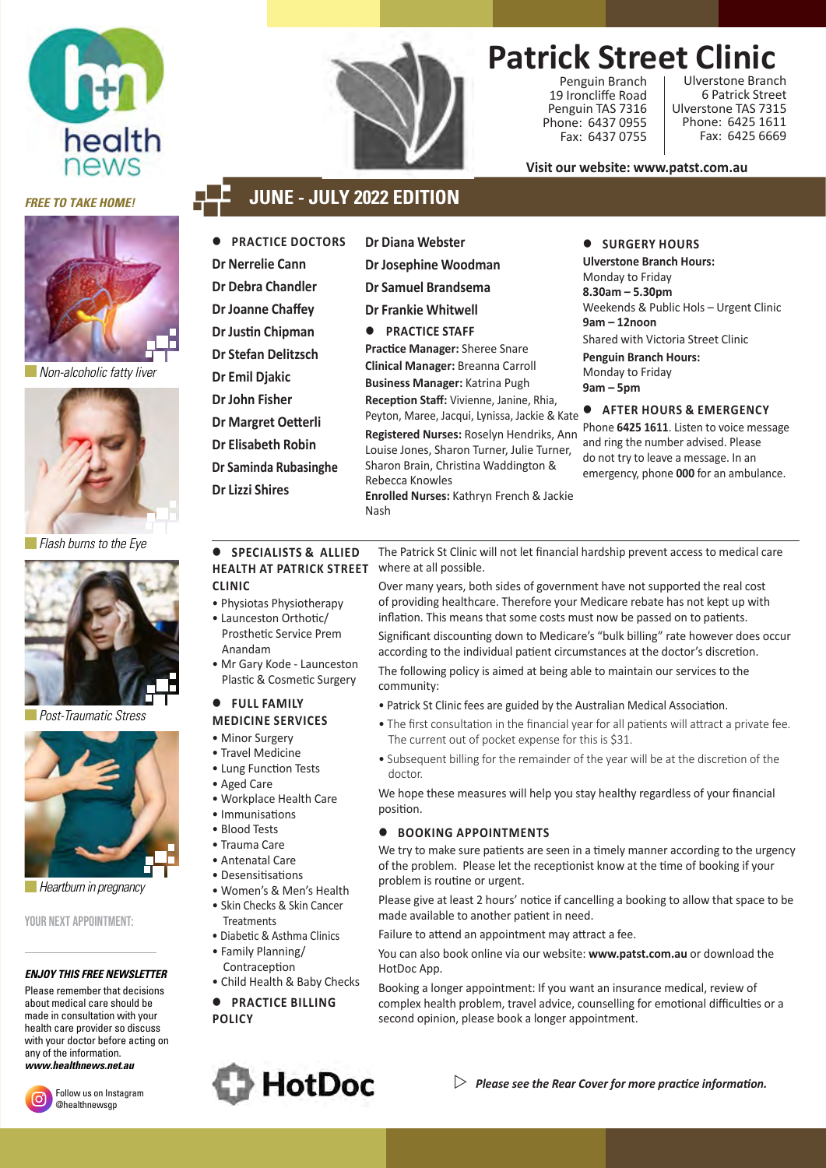



 *Non-alcoholic fatty liver*



 *Flash burns to the Eye*



 *Post-Traumatic Stress*



*Heartburn in pregnancy* 

YOUR NEXT APPOINTMENT-

#### *ENJOY THIS FREE NEWSLETTER*

Please remember that decisions about medical care should be made in consultation with your health care provider so discuss with your doctor before acting on any of the information. *www.healthnews.net.au*



Follow us on Instagram @healthnewsgp



## **Patrick Street Clinic**

Penguin Branch 19 Ironcliffe Road Penguin TAS 7316 Phone: 6437 0955 Fax: 6437 0755

Ulverstone Branch 6 Patrick Street Ulverstone TAS 7315 Phone: 6425 1611 Fax: 6425 6669

**Visit our website: www.patst.com.au**

### *FREE TO TAKE HOME!* **JUNE - JULY 2022 EDITION**

- **PRACTICE DOCTORS Dr Nerrelie Cann Dr Debra Chandler Dr Joanne Chaffey Dr Justin Chipman Dr Stefan Delitzsch Dr Emil Djakic Dr John Fisher Dr Margret Oetterli Dr Elisabeth Robin Dr Saminda Rubasinghe Dr Lizzi Shires**
- **Dr Diana Webster**
- **Dr Josephine Woodman**
- **Dr Samuel Brandsema**

**Dr Frankie Whitwell**

**PRACTICE STAFF Practice Manager:** Sheree Snare **Clinical Manager:** Breanna Carroll **Business Manager:** Katrina Pugh **Reception Staff:** Vivienne, Janine, Rhia,

Peyton, Maree, Jacqui, Lynissa, Jackie & Kate **Registered Nurses:** Roselyn Hendriks, Ann

Louise Jones, Sharon Turner, Julie Turner, Sharon Brain, Christina Waddington & Rebecca Knowles **Enrolled Nurses:** Kathryn French & Jackie

### $\bullet$  SURGERY HOURS

**Ulverstone Branch Hours:** Monday to Friday **8.30am – 5.30pm** Weekends & Public Hols – Urgent Clinic **9am – 12noon** Shared with Victoria Street Clinic **Penguin Branch Hours:** Monday to Friday **9am – 5pm**

### **AFTER HOURS & EMERGENCY**

Phone **6425 1611**. Listen to voice message and ring the number advised. Please do not try to leave a message. In an emergency, phone **000** for an ambulance.

The Patrick St Clinic will not let financial hardship prevent access to medical care where at all possible.

Over many years, both sides of government have not supported the real cost of providing healthcare. Therefore your Medicare rebate has not kept up with inflation. This means that some costs must now be passed on to patients. Significant discounting down to Medicare's "bulk billing" rate however does occur according to the individual patient circumstances at the doctor's discretion. The following policy is aimed at being able to maintain our services to the community:

- Patrick St Clinic fees are guided by the Australian Medical Association.
- The first consultation in the financial year for all patients will attract a private fee. The current out of pocket expense for this is \$31.
- Subsequent billing for the remainder of the year will be at the discretion of the doctor.

We hope these measures will help you stay healthy regardless of your financial position.

### **BOOKING APPOINTMENTS**

We try to make sure patients are seen in a timely manner according to the urgency of the problem. Please let the receptionist know at the time of booking if your problem is routine or urgent.

Please give at least 2 hours' notice if cancelling a booking to allow that space to be made available to another patient in need.

Failure to attend an appointment may attract a fee.

You can also book online via our website: **www.patst.com.au** or download the HotDoc App.

Booking a longer appointment: If you want an insurance medical, review of complex health problem, travel advice, counselling for emotional difficulties or a second opinion, please book a longer appointment.





Nash

- **CLINIC** • Physiotas Physiotherapy
- Launceston Orthotic/ Prosthetic Service Prem Anandam
- Mr Gary Kode Launceston Plastic & Cosmetic Surgery

### **FULL FAMILY MEDICINE SERVICES**

- Minor Surgery
- Travel Medicine
- Lung Function Tests
- Aged Care
- Workplace Health Care
- Immunisations
- Blood Tests
- Trauma Care
- Antenatal Care
- Desensitisations
- Women's & Men's Health • Skin Checks & Skin Cancer **Treatments**
- Diabetic & Asthma Clinics
- Family Planning/
- Contraception • Child Health & Baby Checks
- **PRACTICE BILLING**

**POLICY**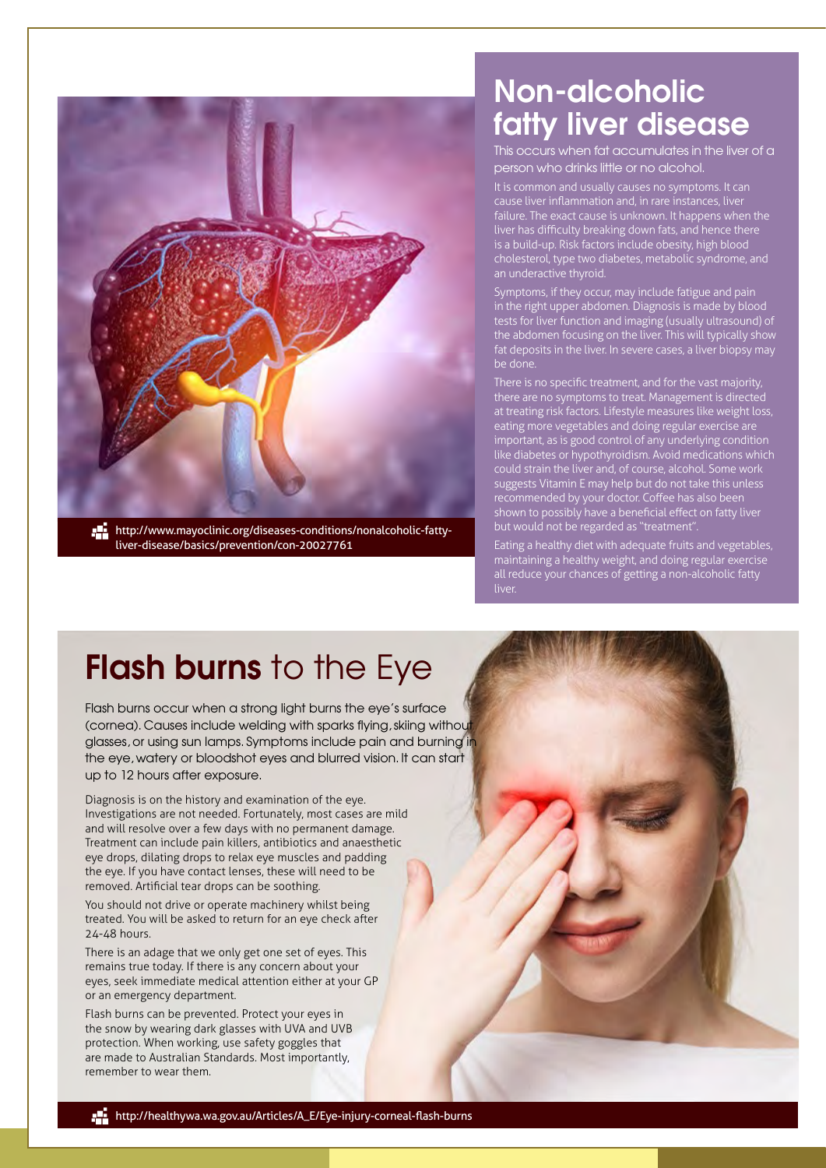

liver-disease/basics/prevention/con-20027761

## Non-alcoholic fatty liver disease

This occurs when fat accumulates in the liver of a person who drinks little or no alcohol.

It is common and usually causes no symptoms. It can cause liver inflammation and, in rare instances, liver failure. The exact cause is unknown. It happens when the liver has difficulty breaking down fats, and hence there is a build-up. Risk factors include obesity, high blood cholesterol, type two diabetes, metabolic syndrome, and an underactive thyroid.

Symptoms, if they occur, may include fatigue and pain in the right upper abdomen. Diagnosis is made by blood tests for liver function and imaging (usually ultrasound) of the abdomen focusing on the liver. This will typically show fat deposits in the liver. In severe cases, a liver biopsy may be done.

There is no specific treatment, and for the vast majority, there are no symptoms to treat. Management is directed at treating risk factors. Lifestyle measures like weight loss, eating more vegetables and doing regular exercise are important, as is good control of any underlying condition like diabetes or hypothyroidism. Avoid medications which could strain the liver and, of course, alcohol. Some work suggests Vitamin E may help but do not take this unless recommended by your doctor. Coffee has also been shown to possibly have a beneficial effect on fatty liver but would not be regarded as "treatment".

Eating a healthy diet with adequate fruits and vegetables, maintaining a healthy weight, and doing regular exercise all reduce your chances of getting a non-alcoholic fatty liver.

# Flash burns to the Eye

Flash burns occur when a strong light burns the eye's surface (cornea). Causes include welding with sparks flying, skiing without glasses, or using sun lamps. Symptoms include pain and burning in the eye, watery or bloodshot eyes and blurred vision. It can start up to 12 hours after exposure.

Diagnosis is on the history and examination of the eye. Investigations are not needed. Fortunately, most cases are mild and will resolve over a few days with no permanent damage. Treatment can include pain killers, antibiotics and anaesthetic eye drops, dilating drops to relax eye muscles and padding the eye. If you have contact lenses, these will need to be removed. Artificial tear drops can be soothing.

You should not drive or operate machinery whilst being treated. You will be asked to return for an eye check after 24-48 hours.

There is an adage that we only get one set of eyes. This remains true today. If there is any concern about your eyes, seek immediate medical attention either at your GP or an emergency department.

Flash burns can be prevented. Protect your eyes in the snow by wearing dark glasses with UVA and UVB protection. When working, use safety goggles that are made to Australian Standards. Most importantly, remember to wear them.

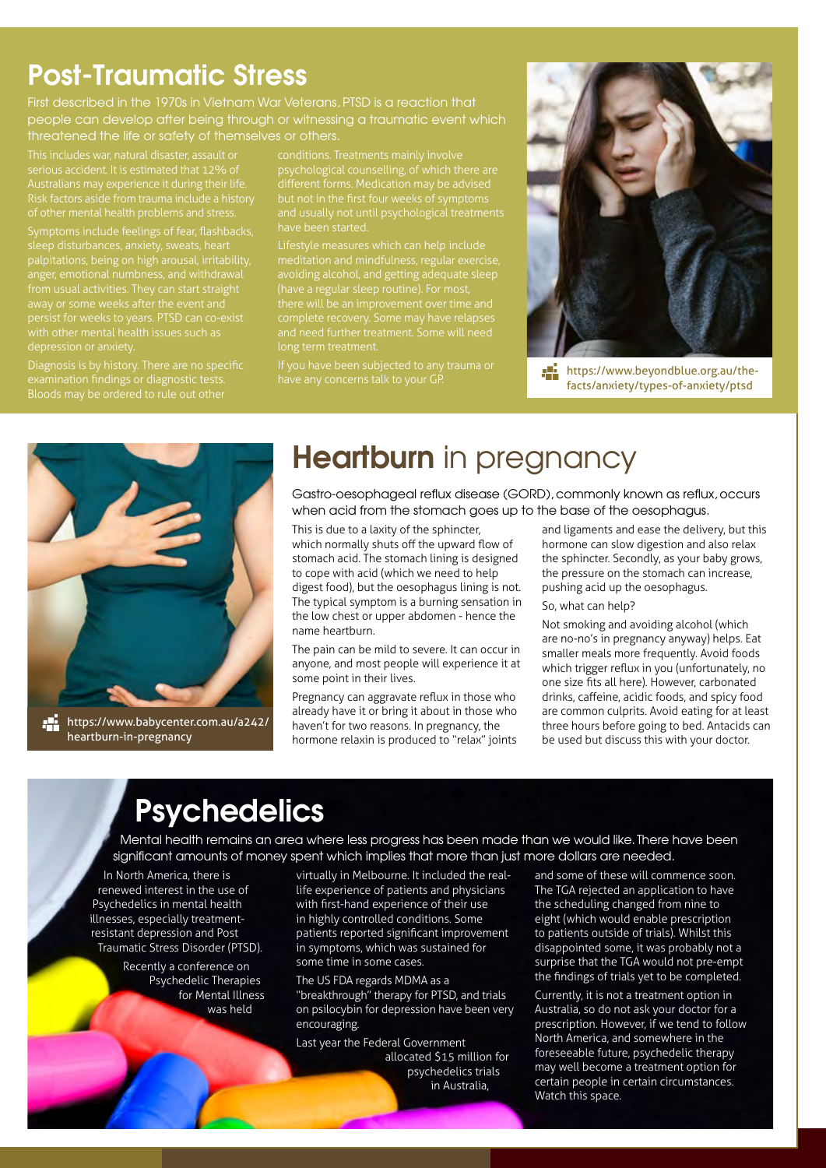## Post-Traumatic Stress

First described in the 1970s in Vietnam War Veterans, PTSD is a reaction that people can develop after being through or witnessing a traumatic event which threatened the life or safety of themselves or others.

serious accident. It is estimated that 12% of Risk factors aside from trauma include a history of other mental health problems and stress.

sleep disturbances, anxiety, sweats, heart persist for weeks to years. PTSD can co-exist depression or anxiety.

Diagnosis is by history. There are no specific

but not in the first four weeks of symptoms have been started.

Lifestyle measures which can help include avoiding alcohol, and getting adequate sleep (have a regular sleep routine). For most, long term treatment.

have any concerns talk to your GP.



 https://www.beyondblue.org.au/thefacts/anxiety/types-of-anxiety/ptsd



 https://www.babycenter.com.au/a242/ heartburn-in-pregnancy

## **Heartburn** in pregnancy

Gastro-oesophageal reflux disease (GORD), commonly known as reflux, occurs when acid from the stomach goes up to the base of the oesophagus.

This is due to a laxity of the sphincter, which normally shuts off the upward flow of stomach acid. The stomach lining is designed to cope with acid (which we need to help digest food), but the oesophagus lining is not. The typical symptom is a burning sensation in the low chest or upper abdomen - hence the name heartburn.

The pain can be mild to severe. It can occur in anyone, and most people will experience it at some point in their lives.

Pregnancy can aggravate reflux in those who already have it or bring it about in those who haven't for two reasons. In pregnancy, the hormone relaxin is produced to "relax" joints

and ligaments and ease the delivery, but this hormone can slow digestion and also relax the sphincter. Secondly, as your baby grows, the pressure on the stomach can increase, pushing acid up the oesophagus.

So, what can help?

Not smoking and avoiding alcohol (which are no-no's in pregnancy anyway) helps. Eat smaller meals more frequently. Avoid foods which trigger reflux in you (unfortunately, no one size fits all here). However, carbonated drinks, caffeine, acidic foods, and spicy food are common culprits. Avoid eating for at least three hours before going to bed. Antacids can be used but discuss this with your doctor.

## **Psychedelics**

Mental health remains an area where less progress has been made than we would like. There have been significant amounts of money spent which implies that more than just more dollars are needed.

In North America, there is renewed interest in the use of Psychedelics in mental health illnesses, especially treatmentresistant depression and Post Traumatic Stress Disorder (PTSD).

> Recently a conference on Psychedelic Therapies for Mental Illness was held

virtually in Melbourne. It included the reallife experience of patients and physicians with first-hand experience of their use in highly controlled conditions. Some patients reported significant improvement in symptoms, which was sustained for some time in some cases.

The US FDA regards MDMA as a "breakthrough" therapy for PTSD, and trials on psilocybin for depression have been very encouraging.

Last year the Federal Government allocated \$15 million for psychedelics trials in Australia,

and some of these will commence soon. The TGA rejected an application to have the scheduling changed from nine to eight (which would enable prescription to patients outside of trials). Whilst this disappointed some, it was probably not a surprise that the TGA would not pre-empt the findings of trials yet to be completed.

Currently, it is not a treatment option in Australia, so do not ask your doctor for a prescription. However, if we tend to follow North America, and somewhere in the foreseeable future, psychedelic therapy may well become a treatment option for certain people in certain circumstances. Watch this space.